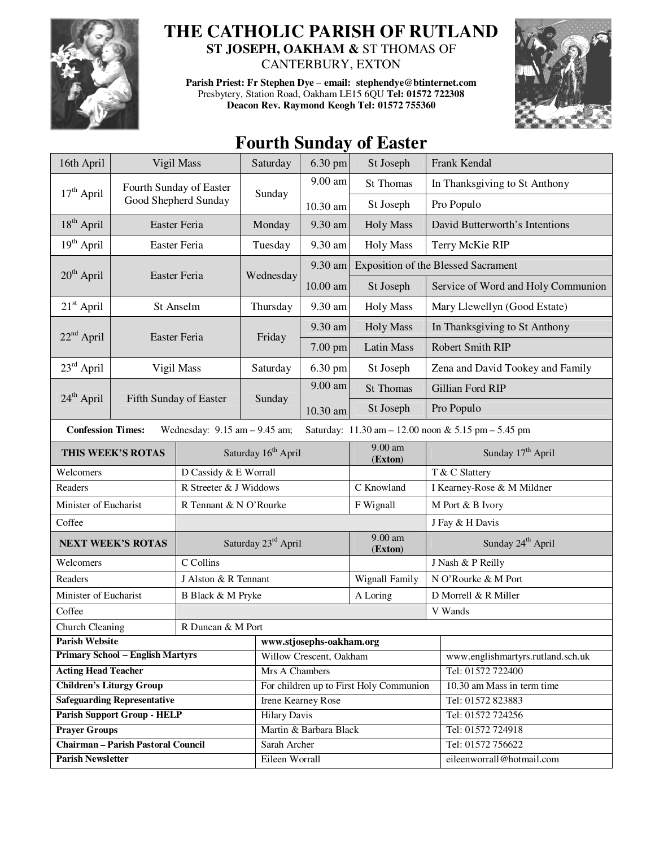

## **THE CATHOLIC PARISH OF RUTLAND**

**ST JOSEPH, OAKHAM &** ST THOMAS OF CANTERBURY, EXTON

**Parish Priest: Fr Stephen Dye** – **email: stephendye@btinternet.com** Presbytery, Station Road, Oakham LE15 6QU **Tel: 01572 722308 Deacon Rev. Raymond Keogh Tel: 01572 755360** 



## **Fourth Sunday of Easter**

| 16th April                                                                                                           | Vigil Mass                                       |                        | Saturday                                | 6.30 pm<br>St Joseph |                      |                                            | Frank Kendal                     |  |
|----------------------------------------------------------------------------------------------------------------------|--------------------------------------------------|------------------------|-----------------------------------------|----------------------|----------------------|--------------------------------------------|----------------------------------|--|
|                                                                                                                      | Fourth Sunday of Easter                          |                        | Sunday                                  | $9.00$ am            | <b>St Thomas</b>     |                                            | In Thanksgiving to St Anthony    |  |
| $17th$ April                                                                                                         |                                                  | Good Shepherd Sunday   |                                         | 10.30 am             | St Joseph            |                                            | Pro Populo                       |  |
| 18 <sup>th</sup> April                                                                                               |                                                  | Easter Feria           | Monday                                  | 9.30 am              | <b>Holy Mass</b>     | David Butterworth's Intentions             |                                  |  |
| 19 <sup>th</sup> April                                                                                               | Easter Feria                                     |                        | Tuesday                                 | 9.30 am              | <b>Holy Mass</b>     |                                            | Terry McKie RIP                  |  |
| $20th$ April<br>Easter Feria                                                                                         |                                                  |                        | Wednesday                               | 9.30 am              |                      | <b>Exposition of the Blessed Sacrament</b> |                                  |  |
|                                                                                                                      |                                                  |                        |                                         | 10.00 am             | St Joseph            | Service of Word and Holy Communion         |                                  |  |
| $21st$ April                                                                                                         | St Anselm                                        |                        | Thursday                                | 9.30 am              | <b>Holy Mass</b>     |                                            | Mary Llewellyn (Good Estate)     |  |
|                                                                                                                      |                                                  |                        | Friday                                  | 9.30 am              | <b>Holy Mass</b>     | In Thanksgiving to St Anthony              |                                  |  |
| $22nd$ April                                                                                                         | Easter Feria                                     |                        |                                         | 7.00 pm              | <b>Latin Mass</b>    |                                            | <b>Robert Smith RIP</b>          |  |
| $23rd$ April                                                                                                         | Vigil Mass                                       |                        | Saturday                                | 6.30 pm              | St Joseph            |                                            | Zena and David Tookey and Family |  |
|                                                                                                                      |                                                  |                        |                                         | 9.00 am              | <b>St Thomas</b>     |                                            | Gillian Ford RIP                 |  |
|                                                                                                                      | 24 <sup>th</sup> April<br>Fifth Sunday of Easter |                        | Sunday                                  | 10.30 am             | St Joseph            | Pro Populo                                 |                                  |  |
| <b>Confession Times:</b><br>Wednesday: $9.15$ am $- 9.45$ am;<br>Saturday: 11.30 am - 12.00 noon & 5.15 pm - 5.45 pm |                                                  |                        |                                         |                      |                      |                                            |                                  |  |
| THIS WEEK'S ROTAS                                                                                                    |                                                  |                        | Saturday 16 <sup>th</sup> April         |                      | 9.00 am<br>(Exton)   | Sunday 17 <sup>th</sup> April              |                                  |  |
| Welcomers                                                                                                            |                                                  | D Cassidy & E Worrall  |                                         |                      |                      | T & C Slattery                             |                                  |  |
| Readers                                                                                                              |                                                  | R Streeter & J Widdows |                                         |                      | C Knowland           | I Kearney-Rose & M Mildner                 |                                  |  |
| Minister of Eucharist                                                                                                |                                                  | R Tennant & N O'Rourke |                                         |                      | F Wignall            | M Port & B Ivory                           |                                  |  |
| Coffee                                                                                                               |                                                  |                        |                                         |                      |                      |                                            | J Fay & H Davis                  |  |
| <b>NEXT WEEK'S ROTAS</b>                                                                                             |                                                  | Saturday 23rd April    |                                         |                      | $9.00$ am<br>(Exton) | Sunday 24 <sup>th</sup> April              |                                  |  |
| Welcomers                                                                                                            |                                                  | C Collins              |                                         |                      |                      | J Nash & P Reilly                          |                                  |  |
| Readers                                                                                                              |                                                  | J Alston & R Tennant   |                                         |                      | Wignall Family       | N O'Rourke & M Port                        |                                  |  |
| Minister of Eucharist                                                                                                |                                                  |                        | B Black & M Pryke                       |                      |                      | D Morrell & R Miller                       |                                  |  |
| Coffee                                                                                                               |                                                  |                        |                                         |                      | V Wands              |                                            |                                  |  |
| Church Cleaning                                                                                                      | R Duncan & M Port                                |                        |                                         |                      |                      |                                            |                                  |  |
| <b>Parish Website</b>                                                                                                |                                                  |                        | www.stjosephs-oakham.org                |                      |                      |                                            |                                  |  |
| <b>Primary School - English Martyrs</b>                                                                              |                                                  |                        | Willow Crescent, Oakham                 |                      |                      | www.englishmartyrs.rutland.sch.uk          |                                  |  |
| <b>Acting Head Teacher</b>                                                                                           |                                                  |                        | Mrs A Chambers                          |                      |                      | Tel: 01572 722400                          |                                  |  |
| <b>Children's Liturgy Group</b>                                                                                      |                                                  |                        | For children up to First Holy Communion |                      |                      | 10.30 am Mass in term time                 |                                  |  |
| <b>Safeguarding Representative</b>                                                                                   |                                                  |                        | Irene Kearney Rose                      |                      |                      | Tel: 01572 823883                          |                                  |  |
| <b>Parish Support Group - HELP</b>                                                                                   |                                                  |                        | <b>Hilary Davis</b>                     |                      |                      | Tel: 01572 724256                          |                                  |  |
| <b>Prayer Groups</b>                                                                                                 |                                                  |                        | Martin & Barbara Black                  |                      |                      | Tel: 01572 724918                          |                                  |  |
| <b>Chairman - Parish Pastoral Council</b>                                                                            |                                                  |                        | Sarah Archer                            |                      |                      | Tel: 01572 756622                          |                                  |  |
| <b>Parish Newsletter</b>                                                                                             |                                                  |                        | Eileen Worrall                          |                      |                      | eileenworrall@hotmail.com                  |                                  |  |